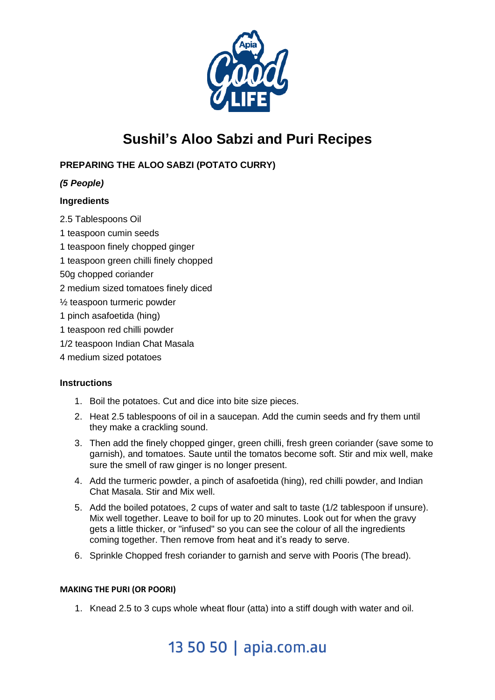

# **Sushil's Aloo Sabzi and Puri Recipes**

## **PREPARING THE ALOO SABZI (POTATO CURRY)**

## *(5 People)*

### **Ingredients**

- 2.5 Tablespoons Oil
- 1 teaspoon cumin seeds
- 1 teaspoon finely chopped ginger
- 1 teaspoon green chilli finely chopped
- 50g chopped coriander
- 2 medium sized tomatoes finely diced
- ½ teaspoon turmeric powder
- 1 pinch asafoetida (hing)
- 1 teaspoon red chilli powder
- 1/2 teaspoon Indian Chat Masala
- 4 medium sized potatoes

#### **Instructions**

- 1. Boil the potatoes. Cut and dice into bite size pieces.
- 2. Heat 2.5 tablespoons of oil in a saucepan. Add the cumin seeds and fry them until they make a crackling sound.
- 3. Then add the finely chopped ginger, green chilli, fresh green coriander (save some to garnish), and tomatoes. Saute until the tomatos become soft. Stir and mix well, make sure the smell of raw ginger is no longer present.
- 4. Add the turmeric powder, a pinch of asafoetida (hing), red chilli powder, and Indian Chat Masala. Stir and Mix well.
- 5. Add the boiled potatoes, 2 cups of water and salt to taste (1/2 tablespoon if unsure). Mix well together. Leave to boil for up to 20 minutes. Look out for when the gravy gets a little thicker, or "infused" so you can see the colour of all the ingredients coming together. Then remove from heat and it's ready to serve.
- 6. Sprinkle Chopped fresh coriander to garnish and serve with Pooris (The bread).

#### **MAKING THE PURI (OR POORI)**

1. Knead 2.5 to 3 cups whole wheat flour (atta) into a stiff dough with water and oil.

# 13 50 50 | apia.com.au